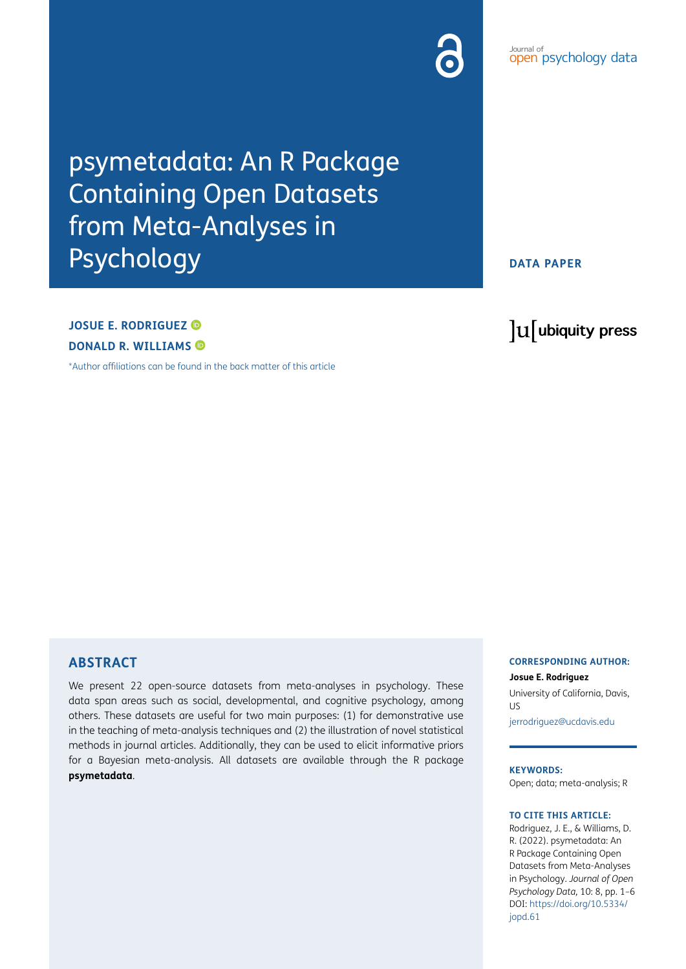# psymetadata: An R Package Containing Open Datasets from Meta-Analyses in Psychology

# **DATA PAPER**

# **JOSUE E. RODRIGUEZ DONALD R. WILLIAMS**

[\\*Author affiliations can be found in the back matter of this article](#page-3-0)

# lu ubiquity press

*Pournal or* psychology data

Journal of

# **ABSTRACT**

We present 22 open-source datasets from meta-analyses in psychology. These data span areas such as social, developmental, and cognitive psychology, among others. These datasets are useful for two main purposes: (1) for demonstrative use in the teaching of meta-analysis techniques and (2) the illustration of novel statistical methods in journal articles. Additionally, they can be used to elicit informative priors for a Bayesian meta-analysis. All datasets are available through the R package **psymetadata**.

#### **CORRESPONDING AUTHOR:**

**Josue E. Rodriguez** University of California, Davis, US

[jerrodriguez@ucdavis.edu](mailto:jerrodriguez@ucdavis.edu)

**KEYWORDS:** Open; data; meta-analysis; R

#### **TO CITE THIS ARTICLE:**

Rodriguez, J. E., & Williams, D. R. (2022). psymetadata: An R Package Containing Open Datasets from Meta-Analyses in Psychology. *Journal of Open Psychology Data,* 10: 8, pp. 1–6 DOI: [https://doi.org/10.5334/](https://doi.org/10.5334/jopd.61) iopd.61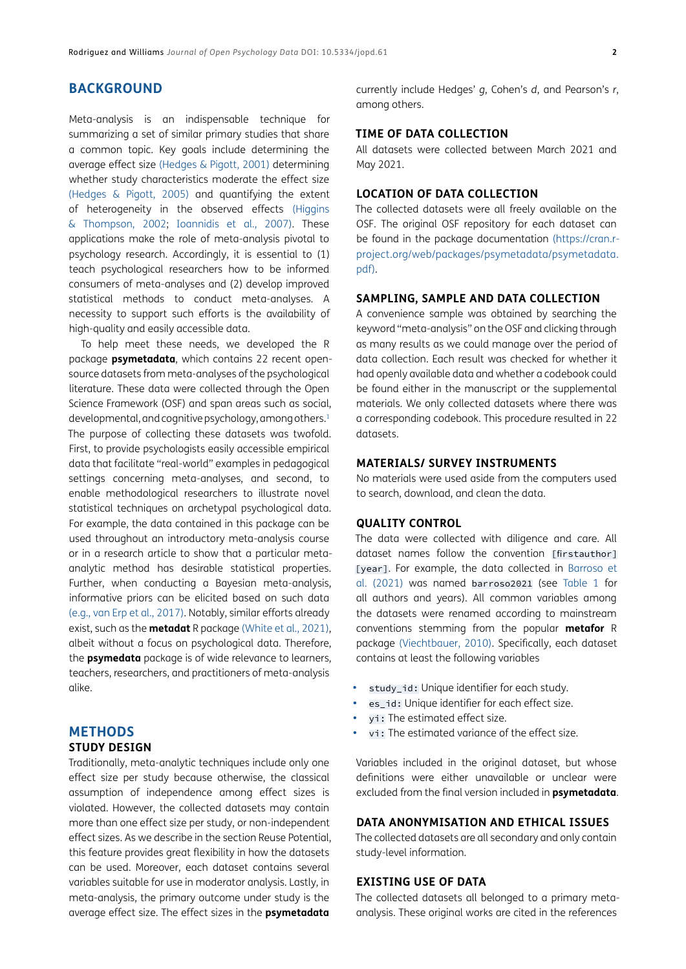# **BACKGROUND**

Meta-analysis is an indispensable technique for summarizing a set of similar primary studies that share a common topic. Key goals include determining the average effect size ([Hedges & Pigott, 2001](#page-4-0)) determining whether study characteristics moderate the effect size [\(Hedges & Pigott, 2005](#page-4-1)) and quantifying the extent of heterogeneity in the observed effects ([Higgins](#page-4-2)  [& Thompson, 2002](#page-4-2); [Ioannidis et al., 2007](#page-4-3)). These applications make the role of meta-analysis pivotal to psychology research. Accordingly, it is essential to (1) teach psychological researchers how to be informed consumers of meta-analyses and (2) develop improved statistical methods to conduct meta-analyses. A necessity to support such efforts is the availability of high-quality and easily accessible data.

To help meet these needs, we developed the R package **psymetadata**, which contains 22 recent opensource datasets from meta-analyses of the psychological literature. These data were collected through the Open Science Framework (OSF) and span areas such as social, developmental, and cognitive psychology, among others.<sup>1</sup> The purpose of collecting these datasets was twofold. First, to provide psychologists easily accessible empirical data that facilitate "real-world" examples in pedagogical settings concerning meta-analyses, and second, to enable methodological researchers to illustrate novel statistical techniques on archetypal psychological data. For example, the data contained in this package can be used throughout an introductory meta-analysis course or in a research article to show that a particular metaanalytic method has desirable statistical properties. Further, when conducting a Bayesian meta-analysis, informative priors can be elicited based on such data (e.g., [van Erp et al., 2017\)](#page-5-0). Notably, similar efforts already exist, such as the **metadat** R package ([White et al., 2021\)](#page-5-1), albeit without a focus on psychological data. Therefore, the **psymedata** package is of wide relevance to learners, teachers, researchers, and practitioners of meta-analysis alike.

### **METHODS STUDY DESIGN**

Traditionally, meta-analytic techniques include only one effect size per study because otherwise, the classical assumption of independence among effect sizes is violated. However, the collected datasets may contain more than one effect size per study, or non-independent effect sizes. As we describe in the section Reuse Potential, this feature provides great flexibility in how the datasets can be used. Moreover, each dataset contains several variables suitable for use in moderator analysis. Lastly, in meta-analysis, the primary outcome under study is the average effect size. The effect sizes in the **psymetadata**

currently include Hedges' *g*, Cohen's *d*, and Pearson's *r*, among others.

#### **TIME OF DATA COLLECTION**

All datasets were collected between March 2021 and May 2021.

#### **LOCATION OF DATA COLLECTION**

The collected datasets were all freely available on the OSF. The original OSF repository for each dataset can be found in the package documentation ([https://cran.r](https://cran.r-project.org/web/packages/psymetadata/psymetadata.pdf)[project.org/web/packages/psymetadata/psymetadata.](https://cran.r-project.org/web/packages/psymetadata/psymetadata.pdf) [pdf\)](https://cran.r-project.org/web/packages/psymetadata/psymetadata.pdf).

#### **SAMPLING, SAMPLE AND DATA COLLECTION**

A convenience sample was obtained by searching the keyword "meta-analysis" on the OSF and clicking through as many results as we could manage over the period of data collection. Each result was checked for whether it had openly available data and whether a codebook could be found either in the manuscript or the supplemental materials. We only collected datasets where there was a corresponding codebook. This procedure resulted in 22 datasets.

#### **MATERIALS/ SURVEY INSTRUMENTS**

No materials were used aside from the computers used to search, download, and clean the data.

#### **QUALITY CONTROL**

The data were collected with diligence and care. All dataset names follow the convention [firstauthor] [year]. For example, the data collected in Barroso et [al. \(2021\)](#page-4-4) was named barroso2021 (see Table 1 for all authors and years). All common variables among the datasets were renamed according to mainstream conventions stemming from the popular **metafor** R package [\(Viechtbauer, 2010\)](#page-5-2). Specifically, each dataset contains at least the following variables

- **•**  study\_id: Unique identifier for each study.
- es id: Unique identifier for each effect size.
- vi: The estimated effect size.
- vi: The estimated variance of the effect size.

Variables included in the original dataset, but whose definitions were either unavailable or unclear were excluded from the final version included in **psymetadata**.

#### **DATA ANONYMISATION AND ETHICAL ISSUES**

The collected datasets are all secondary and only contain study-level information.

#### **EXISTING USE OF DATA**

The collected datasets all belonged to a primary metaanalysis. These original works are cited in the references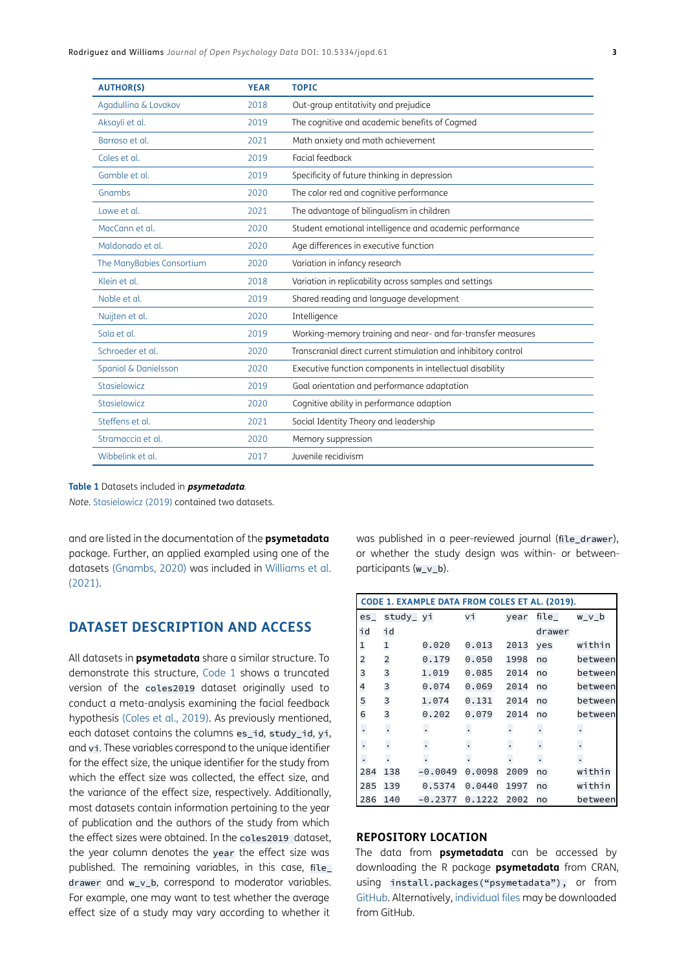| <b>AUTHOR(S)</b>          | <b>YEAR</b> | <b>TOPIC</b>                                                   |  |
|---------------------------|-------------|----------------------------------------------------------------|--|
| Agadullina & Lovakov      | 2018        | Out-group entitativity and prejudice                           |  |
| Aksayli et al.            | 2019        | The cognitive and academic benefits of Cogmed                  |  |
| Barroso et al.            | 2021        | Math anxiety and math achievement                              |  |
| Coles et al.              | 2019        | Facial feedback                                                |  |
| Gamble et al.             | 2019        | Specificity of future thinking in depression                   |  |
| Gnambs                    | 2020        | The color red and cognitive performance                        |  |
| Lowe et al.               | 2021        | The advantage of bilingualism in children                      |  |
| MacCann et al.            | 2020        | Student emotional intelligence and academic performance        |  |
| Maldonado et al.          | 2020        | Age differences in executive function                          |  |
| The ManyBabies Consortium | 2020        | Variation in infancy research                                  |  |
| Klein et al.              | 2018        | Variation in replicability across samples and settings         |  |
| Noble et al.              | 2019        | Shared reading and language development                        |  |
| Nuijten et al.            | 2020        | Intelligence                                                   |  |
| Sala et al.               | 2019        | Working-memory training and near- and far-transfer measures    |  |
| Schroeder et al.          | 2020        | Transcranial direct current stimulation and inhibitory control |  |
| Spaniol & Danielsson      | 2020        | Executive function components in intellectual disability       |  |
| Stasielowicz              | 2019        | Goal orientation and performance adaptation                    |  |
| Stasielowicz              | 2020        | Cognitive ability in performance adaption                      |  |
| Steffens et al.           | 2021        | Social Identity Theory and leadership                          |  |
| Stramaccia et al.         | 2020        | Memory suppression                                             |  |
| Wibbelink et al.          | 2017        | Juvenile recidivism                                            |  |

#### **Table 1** Datasets included in **psymetadata***.*

*Note*. [Stasielowicz \(2019\)](#page-4-18) contained two datasets.

and are listed in the documentation of the **psymetadata** package. Further, an applied exampled using one of the datasets [\(Gnambs, 2020](#page-4-5)) was included in Williams et al. (2021).

# **DATASET DESCRIPTION AND ACCESS**

All datasets in **psymetadata** share a similar structure. To demonstrate this structure, [Code 1](#page-2-0) shows a truncated version of the coles2019 dataset originally used to conduct a meta-analysis examining the facial feedback hypothesis ([Coles et al., 2019](#page-4-6)). As previously mentioned, each dataset contains the columns es\_id, study\_id, yi, and vi. These variables correspond to the unique identifier for the effect size, the unique identifier for the study from which the effect size was collected, the effect size, and the variance of the effect size, respectively. Additionally, most datasets contain information pertaining to the year of publication and the authors of the study from which the effect sizes were obtained. In the coles2019 dataset, the year column denotes the year the effect size was published. The remaining variables, in this case, file\_ drawer and w\_v\_b, correspond to moderator variables. For example, one may want to test whether the average effect size of a study may vary according to whether it

was published in a peer-reviewed journal (file drawer), or whether the study design was within- or betweenparticipants (w\_v\_b).

<span id="page-2-0"></span>

| CODE 1. EXAMPLE DATA FROM COLES ET AL. (2019). |                      |                      |                      |                      |                      |                |  |  |
|------------------------------------------------|----------------------|----------------------|----------------------|----------------------|----------------------|----------------|--|--|
| es                                             | study_ yi            |                      | vi                   | year                 | file $\_$            | w_v_b          |  |  |
| id                                             | id                   |                      |                      |                      | drawer               |                |  |  |
| $\mathbf{1}$                                   | 1                    | 0.020                | 0.013                | 2013                 | yes                  | within         |  |  |
| $\overline{\mathbf{c}}$                        | 2                    | 0.179                | 0.050                | 1998                 | no                   | between        |  |  |
| 3                                              | 3                    | 1.019                | 0.085                | 2014                 | no                   | between        |  |  |
| 4                                              | 3                    | 0.074                | 0.069                | 2014                 | no                   | between        |  |  |
| 5                                              | 3                    | 1.074                | 0.131                | 2014                 | no                   | between        |  |  |
| 6                                              | 3                    | 0.202                | 0.079                | 2014                 | no                   | between        |  |  |
| $\cdot$                                        | $\ddot{\phantom{0}}$ | $\ddot{\phantom{0}}$ | $\ddot{\phantom{0}}$ | $\ddot{\phantom{0}}$ | $\cdot$              | $\cdot$        |  |  |
| $\bullet$                                      |                      | $\cdot$              |                      | $\cdot$              |                      |                |  |  |
| $\cdot$                                        | $\ddot{\phantom{0}}$ | $\ddot{\phantom{a}}$ | $\blacksquare$       | $\blacksquare$       | $\ddot{\phantom{a}}$ | $\blacksquare$ |  |  |
| 284                                            | 138                  | $-0.0049$            | 0.0098               | 2009                 | no                   | within         |  |  |
| 285                                            | 139                  | 0.5374               | 0.0440               | 1997                 | no                   | within         |  |  |
| 286                                            | 140                  | $-0.2377$            | 0.1222               | 2002                 | no                   | between        |  |  |

#### **REPOSITORY LOCATION**

The data from **psymetadata** can be accessed by downloading the R package **psymetadata** from CRAN, using install.packages("psymetadata"), or from [GitHub](https://github.com/josue-rodriguez/psymetadata
). Alternatively, [individual files](https://github.com/josue-rodriguez/psymetadata/tree/main/data
) may be downloaded from GitHub.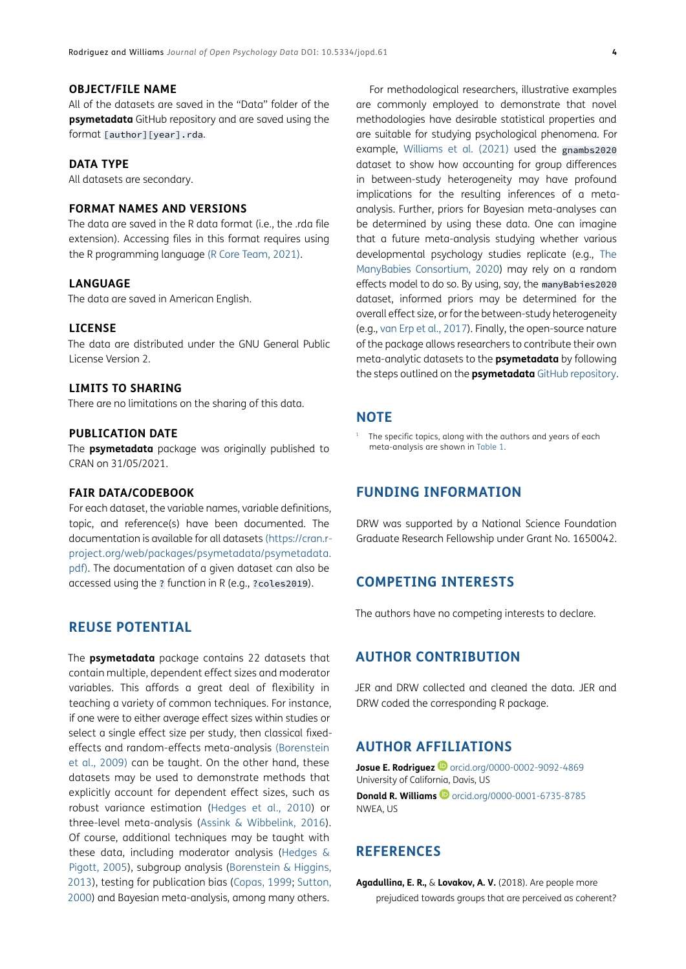#### **OBJECT/FILE NAME**

All of the datasets are saved in the "Data" folder of the **psymetadata** GitHub repository and are saved using the format [author][year].rda.

#### **DATA TYPE**

All datasets are secondary.

#### **FORMAT NAMES AND VERSIONS**

The data are saved in the R data format (i.e., the .rda file extension). Accessing files in this format requires using the R programming language [\(R Core Team, 2021\)](#page-4-19).

#### **LANGUAGE**

The data are saved in American English.

#### **LICENSE**

The data are distributed under the GNU General Public License Version 2.

#### **LIMITS TO SHARING**

There are no limitations on the sharing of this data.

#### **PUBLICATION DATE**

The **psymetadata** package was originally published to CRAN on 31/05/2021.

#### **FAIR DATA/CODEBOOK**

For each dataset, the variable names, variable definitions, topic, and reference(s) have been documented. The documentation is available for all datasets [\(https://cran.r](https://cran.r-project.org/web/packages/psymetadata/psymetadata.pdf)[project.org/web/packages/psymetadata/psymetadata.](https://cran.r-project.org/web/packages/psymetadata/psymetadata.pdf) [pdf](https://cran.r-project.org/web/packages/psymetadata/psymetadata.pdf)). The documentation of a given dataset can also be accessed using the ? function in R (e.g., ?coles2019).

# **REUSE POTENTIAL**

The **psymetadata** package contains 22 datasets that contain multiple, dependent effect sizes and moderator variables. This affords a great deal of flexibility in teaching a variety of common techniques. For instance, if one were to either average effect sizes within studies or select a single effect size per study, then classical fixedeffects and random-effects meta-analysis ([Borenstein](#page-4-20)  [et al., 2009\)](#page-4-20) can be taught. On the other hand, these datasets may be used to demonstrate methods that explicitly account for dependent effect sizes, such as robust variance estimation [\(Hedges et al., 2010](#page-4-21)) or three-level meta-analysis ([Assink & Wibbelink, 2016](#page-4-22)). Of course, additional techniques may be taught with these data, including moderator analysis ([Hedges &](#page-4-1) [Pigott, 2005](#page-4-1)), subgroup analysis [\(Borenstein & Higgins,](#page-4-23)  [2013\)](#page-4-23), testing for publication bias ([Copas, 1999;](#page-4-24) [Sutton,](#page-5-8)  [2000](#page-5-8)) and Bayesian meta-analysis, among many others.

For methodological researchers, illustrative examples are commonly employed to demonstrate that novel methodologies have desirable statistical properties and are suitable for studying psychological phenomena. For example, Williams et al. (2021) used the gnambs2020 dataset to show how accounting for group differences in between-study heterogeneity may have profound implications for the resulting inferences of a metaanalysis. Further, priors for Bayesian meta-analyses can be determined by using these data. One can imagine that a future meta-analysis studying whether various developmental psychology studies replicate (e.g., [The](#page-5-3) [ManyBabies Consortium, 2020](#page-5-3)) may rely on a random effects model to do so. By using, say, the manyBabies2020 dataset, informed priors may be determined for the overall effect size, or for the between-study heterogeneity (e.g., [van Erp et al., 2017](#page-5-0)). Finally, the open-source nature of the package allows researchers to contribute their own meta-analytic datasets to the **psymetadata** by following the steps outlined on the **psymetadata** [GitHub repository.](https://github.com/josue-rodriguez/psymetadata/tree/main/data
)

#### **NOTE**

<span id="page-3-1"></span> $1$  The specific topics, along with the authors and years of each meta-analysis are shown in Table 1.

# **FUNDING INFORMATION**

DRW was supported by a National Science Foundation Graduate Research Fellowship under Grant No. 1650042.

# **COMPETING INTERESTS**

The authors have no competing interests to declare.

# **AUTHOR CONTRIBUTION**

JER and DRW collected and cleaned the data. JER and DRW coded the corresponding R package.

## <span id="page-3-0"></span>**AUTHOR AFFILIATIONS**

**Josue E. Rodriguez <sup>1</sup>** [orcid.org/0000-0002-9092-4869](https://orcid.org/0000-0002-9092-4869) University of California, Davis, US **DonaldR. Williams D** [orcid.org/0000-0001-6735-8785](https://orcid.org/0000-0001-6735-8785) NWEA, US

### **REFERENCES**

<span id="page-3-2"></span>**Agadullina, E. R.,** & **Lovakov, A. V.** (2018). Are people more prejudiced towards groups that are perceived as coherent?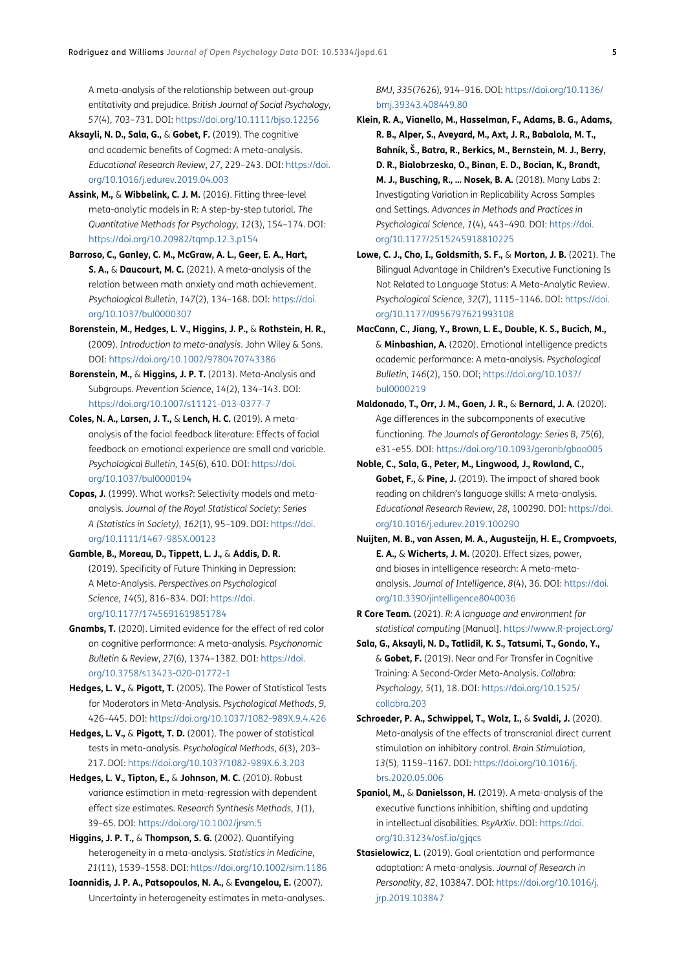A meta-analysis of the relationship between out-group entitativity and prejudice. *British Journal of Social Psychology*, *57*(4), 703–731. DOI: [https://doi.org/10.1111/bjso.12256](https://doi.org/10.1111/bjso.12256 )

- <span id="page-4-7"></span>**Aksayli, N. D., Sala, G.,** & **Gobet, F.** (2019). The cognitive and academic benefits of Cogmed: A meta-analysis. *Educational Research Review*, *27*, 229–243. DOI: [https://doi.](https://doi.org/10.1016/j.edurev.2019.04.003 ) [org/10.1016/j.edurev.2019.04.003](https://doi.org/10.1016/j.edurev.2019.04.003 )
- <span id="page-4-22"></span>**Assink, M.,** & **Wibbelink, C. J. M.** (2016). Fitting three-level meta-analytic models in R: A step-by-step tutorial. *The Quantitative Methods for Psychology*, *12*(3), 154–174. DOI: [https://doi.org/10.20982/tqmp.12.3.p154](https://doi.org/10.20982/tqmp.12.3.p154 )
- <span id="page-4-4"></span>**Barroso, C., Ganley, C. M., McGraw, A. L., Geer, E. A., Hart, S. A.,** & **Daucourt, M. C.** (2021). A meta-analysis of the relation between math anxiety and math achievement. *Psychological Bulletin*, *147*(2), 134–168. DOI: [https://doi.](https://doi.org/10.1037/bul0000307 ) [org/10.1037/bul0000307](https://doi.org/10.1037/bul0000307 )
- <span id="page-4-20"></span>**Borenstein, M., Hedges, L. V., Higgins, J. P.,** & **Rothstein, H. R.,**  (2009). *Introduction to meta-analysis*. John Wiley & Sons. DOI: [https://doi.org/10.1002/9780470743386](https://doi.org/10.1002/9780470743386 )
- <span id="page-4-23"></span>**Borenstein, M.,** & **Higgins, J. P. T.** (2013). Meta-Analysis and Subgroups. *Prevention Science*, *14*(2), 134–143. DOI: [https://doi.org/10.1007/s11121-013-0377-7](https://doi.org/10.1007/s11121-013-0377-7 )
- <span id="page-4-6"></span>**Coles, N. A., Larsen, J. T.,** & **Lench, H. C.** (2019). A metaanalysis of the facial feedback literature: Effects of facial feedback on emotional experience are small and variable. *Psychological Bulletin*, *145*(6), 610. DOI: [https://doi.](https://doi.org/10.1037/bul0000194 ) [org/10.1037/bul0000194](https://doi.org/10.1037/bul0000194 )
- <span id="page-4-24"></span>**Copas, J.** (1999). What works?: Selectivity models and metaanalysis. *Journal of the Royal Statistical Society: Series A (Statistics in Society)*, *162*(1), 95–109. DOI: [https://doi.](https://doi.org/10.1111/1467-985X.00123 ) [org/10.1111/1467-985X.00123](https://doi.org/10.1111/1467-985X.00123 )
- <span id="page-4-8"></span>**Gamble, B., Moreau, D., Tippett, L. J.,** & **Addis, D. R.**  (2019). Specificity of Future Thinking in Depression: A Meta-Analysis. *Perspectives on Psychological Science*, *14*(5), 816–834. DOI: [https://doi.](https://doi.org/10.1177/1745691619851784 ) [org/10.1177/1745691619851784](https://doi.org/10.1177/1745691619851784 )
- <span id="page-4-5"></span>**Gnambs, T.** (2020). Limited evidence for the effect of red color on cognitive performance: A meta-analysis. *Psychonomic Bulletin* & *Review*, *27*(6), 1374–1382. DOI: [https://doi.](https://doi.org/10.3758/s13423-020-01772-1 ) [org/10.3758/s13423-020-01772-1](https://doi.org/10.3758/s13423-020-01772-1 )
- <span id="page-4-1"></span>**Hedges, L. V.,** & **Pigott, T.** (2005). The Power of Statistical Tests for Moderators in Meta-Analysis. *Psychological Methods*, *9*, 426–445. DOI: [https://doi.org/10.1037/1082-989X.9.4.426](https://doi.org/10.1037/1082-989X.9.4.426 )
- <span id="page-4-0"></span>**Hedges, L. V.,** & **Pigott, T. D.** (2001). The power of statistical tests in meta-analysis. *Psychological Methods*, *6*(3), 203– 217. DOI: [https://doi.org/10.1037/1082-989X.6.3.203](https://doi.org/10.1037/1082-989X.6.3.203 )
- <span id="page-4-21"></span>**Hedges, L. V., Tipton, E.,** & **Johnson, M. C.** (2010). Robust variance estimation in meta-regression with dependent effect size estimates. *Research Synthesis Methods*, *1*(1), 39–65. DOI: [https://doi.org/10.1002/jrsm.5](https://doi.org/10.1002/jrsm.5 )
- <span id="page-4-2"></span>**Higgins, J. P. T.,** & **Thompson, S. G.** (2002). Quantifying heterogeneity in a meta-analysis. *Statistics in Medicine*, *21*(11), 1539–1558. DOI: [https://doi.org/10.1002/sim.1186](https://doi.org/10.1002/sim.1186 )

<span id="page-4-3"></span>**Ioannidis, J. P. A., Patsopoulos, N. A.,** & **Evangelou, E.** (2007). Uncertainty in heterogeneity estimates in meta-analyses.

#### *BMJ*, *335*(7626), 914–916. DOI: [https://doi.org/10.1136/](https://doi.org/10.1136/bmj.39343.408449.80 ) [bmj.39343.408449.80](https://doi.org/10.1136/bmj.39343.408449.80 )

- <span id="page-4-12"></span>**Klein, R. A., Vianello, M., Hasselman, F., Adams, B. G., Adams, R. B., Alper, S., Aveyard, M., Axt, J. R., Babalola, M. T., Bahník, Š., Batra, R., Berkics, M., Bernstein, M. J., Berry, D. R., Bialobrzeska, O., Binan, E. D., Bocian, K., Brandt, M. J., Busching, R., … Nosek, B. A.** (2018). Many Labs 2: Investigating Variation in Replicability Across Samples and Settings. *Advances in Methods and Practices in Psychological Science*, *1*(4), 443–490. DOI: [https://doi.](https://doi.org/10.1177/2515245918810225 ) [org/10.1177/2515245918810225](https://doi.org/10.1177/2515245918810225 )
- <span id="page-4-9"></span>**Lowe, C. J., Cho, I., Goldsmith, S. F.,** & **Morton, J. B.** (2021). The Bilingual Advantage in Children's Executive Functioning Is Not Related to Language Status: A Meta-Analytic Review. *Psychological Science*, *32*(7), 1115–1146. DOI: [https://doi.](https://doi.org/10.1177/0956797621993108 ) [org/10.1177/0956797621993108](https://doi.org/10.1177/0956797621993108 )
- <span id="page-4-10"></span>**MacCann, C., Jiang, Y., Brown, L. E., Double, K. S., Bucich, M.,**  & **Minbashian, A.** (2020). Emotional intelligence predicts academic performance: A meta-analysis. *Psychological Bulletin*, *146*(2), 150. DOI; [https://doi.org/10.1037/](https://doi.org/10.1037/bul0000219 ) [bul0000219](https://doi.org/10.1037/bul0000219 )
- <span id="page-4-11"></span>**Maldonado, T., Orr, J. M., Goen, J. R.,** & **Bernard, J. A.** (2020). Age differences in the subcomponents of executive functioning. *The Journals of Gerontology: Series B*, *75*(6), e31–e55. DOI: [https://doi.org/10.1093/geronb/gbaa005](https://doi.org/10.1093/geronb/gbaa005 )
- <span id="page-4-13"></span>**Noble, C., Sala, G., Peter, M., Lingwood, J., Rowland, C., Gobet, F.,** & **Pine, J.** (2019). The impact of shared book reading on children's language skills: A meta-analysis. *Educational Research Review*, *28*, 100290. DOI: [https://doi.](https://doi.org/10.1016/j.edurev.2019.100290 ) [org/10.1016/j.edurev.2019.100290](https://doi.org/10.1016/j.edurev.2019.100290 )
- <span id="page-4-14"></span>**Nuijten, M. B., van Assen, M. A., Augusteijn, H. E., Crompvoets, E. A.,** & **Wicherts, J. M.** (2020). Effect sizes, power, and biases in intelligence research: A meta-metaanalysis. *Journal of Intelligence*, *8*(4), 36. DOI: [https://doi.](https://doi.org/10.3390/jintelligence8040036 ) [org/10.3390/jintelligence8040036](https://doi.org/10.3390/jintelligence8040036 )
- <span id="page-4-19"></span>**R Core Team.** (2021). *R: A language and environment for statistical computing* [Manual]. [https://www.R-project.org/](https://www.R-project.org/ )
- <span id="page-4-15"></span>**Sala, G., Aksayli, N. D., Tatlidil, K. S., Tatsumi, T., Gondo, Y.,**  & **Gobet, F.** (2019). Near and Far Transfer in Cognitive Training: A Second-Order Meta-Analysis. *Collabra: Psychology*, *5*(1), 18. DOI: [https://doi.org/10.1525/](https://doi.org/10.1525/collabra.203 ) [collabra.203](https://doi.org/10.1525/collabra.203 )
- <span id="page-4-16"></span>**Schroeder, P. A., Schwippel, T., Wolz, I.,** & **Svaldi, J.** (2020). Meta-analysis of the effects of transcranial direct current stimulation on inhibitory control. *Brain Stimulation*, *13*(5), 1159–1167. DOI: [https://doi.org/10.1016/j.](https://doi.org/10.1016/j.brs.2020.05.006 ) [brs.2020.05.006](https://doi.org/10.1016/j.brs.2020.05.006 )
- <span id="page-4-17"></span>**Spaniol, M.,** & **Danielsson, H.** (2019). A meta-analysis of the executive functions inhibition, shifting and updating in intellectual disabilities. *PsyArXiv*. DOI: [https://doi.](https://doi.org/10.31234/osf.io/gjqcs ) [org/10.31234/osf.io/gjqcs](https://doi.org/10.31234/osf.io/gjqcs )
- <span id="page-4-18"></span>**Stasielowicz, L.** (2019). Goal orientation and performance adaptation: A meta-analysis. *Journal of Research in Personality*, *82*, 103847. DOI: [https://doi.org/10.1016/j.](https://doi.org/10.1016/j.jrp.2019.103847 ) [jrp.2019.103847](https://doi.org/10.1016/j.jrp.2019.103847 )